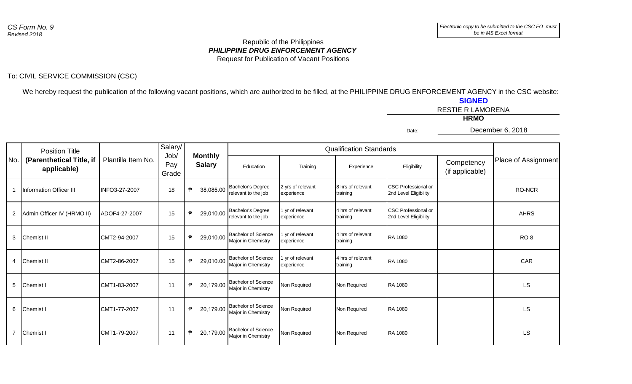## Republic of the Philippines *PHILIPPINE DRUG ENFORCEMENT AGENCY* Request for Publication of Vacant Positions

## To: CIVIL SERVICE COMMISSION (CSC)

We hereby request the publication of the following vacant positions, which are authorized to be filled, at the PHILIPPINE DRUG ENFORCEMENT AGENCY in the CSC website: **SIGNED**

|       | <b>RESTIE R LAMORENA</b> |
|-------|--------------------------|
|       | <b>HRMO</b>              |
| Date: | December 6, 2018         |

|                | <b>Position Title</b>                   |                    | Salary/              | <b>Monthly</b> |                                                  |                                 | <b>Qualification Standards</b> |                                                     |                               |                     |
|----------------|-----------------------------------------|--------------------|----------------------|----------------|--------------------------------------------------|---------------------------------|--------------------------------|-----------------------------------------------------|-------------------------------|---------------------|
| No.            | (Parenthetical Title, if<br>applicable) | Plantilla Item No. | Job/<br>Pay<br>Grade | <b>Salary</b>  | Education                                        | Training                        | Experience                     | Eligibility                                         | Competency<br>(if applicable) | Place of Assignment |
|                | <b>Information Officer III</b>          | INFO3-27-2007      | 18                   | 38,085.00<br>₱ | <b>Bachelor's Degree</b><br>relevant to the job  | 2 yrs of relevant<br>experience | 8 hrs of relevant<br>training  | <b>CSC Professional or</b><br>2nd Level Eligibility |                               | RO-NCR              |
| $\overline{2}$ | Admin Officer IV (HRMO II)              | ADOF4-27-2007      | 15                   | 29,010.00<br>₱ | <b>Bachelor's Degree</b><br>relevant to the job  | 1 yr of relevant<br>experience  | 4 hrs of relevant<br>training  | <b>CSC Professional or</b><br>2nd Level Eligibility |                               | <b>AHRS</b>         |
| 3              | <b>Chemist II</b>                       | CMT2-94-2007       | 15                   | 29,010.00<br>₱ | <b>Bachelor of Science</b><br>Major in Chemistry | 1 yr of relevant<br>experience  | 4 hrs of relevant<br>training  | <b>RA 1080</b>                                      |                               | RO <sub>8</sub>     |
| $\overline{4}$ | Chemist II                              | CMT2-86-2007       | 15                   | ₱<br>29,010.00 | <b>Bachelor of Science</b><br>Major in Chemistry | 1 yr of relevant<br>experience  | 4 hrs of relevant<br>training  | <b>RA 1080</b>                                      |                               | <b>CAR</b>          |
| 5              | Chemist I                               | CMT1-83-2007       | 11                   | 20,179.00<br>₱ | <b>Bachelor of Science</b><br>Major in Chemistry | Non Required                    | Non Required                   | <b>RA 1080</b>                                      |                               | <b>LS</b>           |
| 6              | <b>Chemist I</b>                        | CMT1-77-2007       | 11                   | 20,179.00<br>₱ | <b>Bachelor of Science</b><br>Major in Chemistry | Non Required                    | Non Required                   | <b>RA 1080</b>                                      |                               | <b>LS</b>           |
|                | <b>Chemist I</b>                        | CMT1-79-2007       | 11                   | 20,179.00<br>₱ | <b>Bachelor of Science</b><br>Major in Chemistry | Non Required                    | Non Required                   | RA 1080                                             |                               | <b>LS</b>           |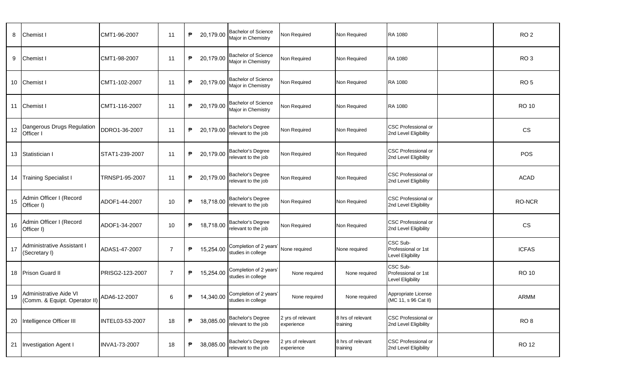| 8  | Chemist I                                               | CMT1-96-2007    | 11             | ₱ | 20,179.00 | <b>Bachelor of Science</b><br>Major in Chemistry | Non Required                    | Non Required                  | RA 1080                                              | RO <sub>2</sub> |
|----|---------------------------------------------------------|-----------------|----------------|---|-----------|--------------------------------------------------|---------------------------------|-------------------------------|------------------------------------------------------|-----------------|
| 9  | Chemist I                                               | CMT1-98-2007    | 11             | ₱ | 20,179.00 | <b>Bachelor of Science</b><br>Major in Chemistry | Non Required                    | Non Required                  | <b>RA 1080</b>                                       | RO <sub>3</sub> |
| 10 | Chemist I                                               | CMT1-102-2007   | 11             | ₱ | 20,179.00 | <b>Bachelor of Science</b><br>Major in Chemistry | Non Required                    | Non Required                  | <b>RA 1080</b>                                       | RO <sub>5</sub> |
| 11 | Chemist I                                               | CMT1-116-2007   | 11             | ₱ | 20,179.00 | <b>Bachelor of Science</b><br>Major in Chemistry | Non Required                    | Non Required                  | <b>RA 1080</b>                                       | <b>RO 10</b>    |
| 12 | Dangerous Drugs Regulation<br>Officer I                 | DDRO1-36-2007   | 11             | ₱ | 20,179.00 | Bachelor's Degree<br>relevant to the job         | Non Required                    | Non Required                  | <b>CSC Professional or</b><br>2nd Level Eligibility  | CS              |
| 13 | Statistician I                                          | STAT1-239-2007  | 11             | ₱ | 20,179.00 | Bachelor's Degree<br>relevant to the job         | Non Required                    | Non Required                  | <b>CSC Professional or</b><br>2nd Level Eligibility  | POS             |
| 14 | <b>Training Specialist I</b>                            | TRNSP1-95-2007  | 11             | ₱ | 20,179.00 | Bachelor's Degree<br>relevant to the job         | Non Required                    | Non Required                  | <b>CSC Professional or</b><br>2nd Level Eligibility  | <b>ACAD</b>     |
| 15 | Admin Officer I (Record<br>Officer I)                   | ADOF1-44-2007   | 10             | ₱ | 18,718.00 | Bachelor's Degree<br>relevant to the job         | Non Required                    | Non Required                  | CSC Professional or<br>2nd Level Eligibility         | RO-NCR          |
| 16 | Admin Officer I (Record<br>Officer I)                   | ADOF1-34-2007   | 10             | ₱ | 18,718.00 | Bachelor's Degree<br>relevant to the job         | Non Required                    | Non Required                  | <b>CSC Professional or</b><br>2nd Level Eligibility  | CS              |
| 17 | Administrative Assistant I<br>(Secretary I)             | ADAS1-47-2007   | $\overline{7}$ | ₱ | 15,254.00 | Completion of 2 years'<br>studies in college     | None required                   | None required                 | CSC Sub-<br>Professional or 1st<br>Level Eligibility | <b>ICFAS</b>    |
| 18 | Prison Guard II                                         | PRISG2-123-2007 | $\overline{7}$ | ₱ | 15,254.00 | Completion of 2 years'<br>studies in college     | None required                   | None required                 | CSC Sub-<br>Professional or 1st<br>Level Eligibility | <b>RO 10</b>    |
| 19 | Administrative Aide VI<br>(Comm. & Equipt. Operator II) | ADA6-12-2007    | 6              | ₱ | 14,340.00 | Completion of 2 years'<br>studies in college     | None required                   | None required                 | Appropriate License<br>(MC 11, s 96 Cat II)          | ARMM            |
| 20 | Intelligence Officer III                                | INTEL03-53-2007 | 18             | ₱ | 38,085.00 | Bachelor's Degree<br>relevant to the job         | 2 yrs of relevant<br>experience | 8 hrs of relevant<br>training | CSC Professional or<br>2nd Level Eligibility         | RO <sub>8</sub> |
| 21 | Investigation Agent I                                   | INVA1-73-2007   | 18             | ₱ | 38,085.00 | Bachelor's Degree<br>relevant to the job         | 2 yrs of relevant<br>experience | 8 hrs of relevant<br>training | CSC Professional or<br>2nd Level Eligibility         | <b>RO 12</b>    |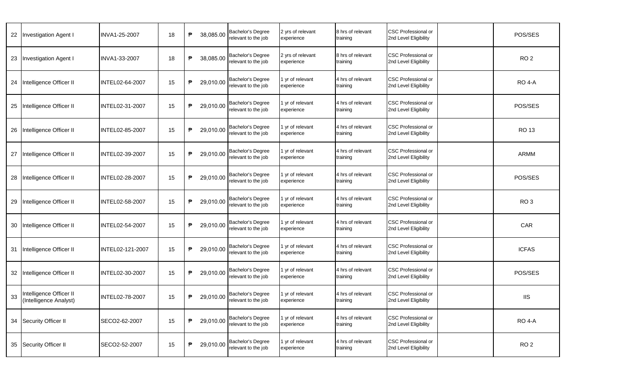| 22 | <b>Investigation Agent I</b>                      | INVA1-25-2007    | 18 | ₱<br>38,085.00 | Bachelor's Degree<br>relevant to the job | 2 yrs of relevant<br>experience | 8 hrs of relevant<br>training | CSC Professional or<br>2nd Level Eligibility        | POS/SES            |
|----|---------------------------------------------------|------------------|----|----------------|------------------------------------------|---------------------------------|-------------------------------|-----------------------------------------------------|--------------------|
| 23 | Investigation Agent I                             | INVA1-33-2007    | 18 | 38,085.00<br>₱ | Bachelor's Degree<br>relevant to the job | 2 yrs of relevant<br>experience | 8 hrs of relevant<br>training | CSC Professional or<br>2nd Level Eligibility        | RO <sub>2</sub>    |
| 24 | Intelligence Officer II                           | INTEL02-64-2007  | 15 | ₱<br>29,010.00 | Bachelor's Degree<br>relevant to the job | 1 yr of relevant<br>experience  | 4 hrs of relevant<br>training | <b>CSC Professional or</b><br>2nd Level Eligibility | <b>RO 4-A</b>      |
| 25 | Intelligence Officer II                           | INTEL02-31-2007  | 15 | ₱<br>29,010.00 | Bachelor's Degree<br>relevant to the job | 1 yr of relevant<br>experience  | 4 hrs of relevant<br>training | <b>CSC Professional or</b><br>2nd Level Eligibility | POS/SES            |
| 26 | Intelligence Officer II                           | INTEL02-85-2007  | 15 | 29,010.00<br>₱ | Bachelor's Degree<br>relevant to the job | 1 yr of relevant<br>experience  | 4 hrs of relevant<br>training | CSC Professional or<br>2nd Level Eligibility        | <b>RO 13</b>       |
| 27 | Intelligence Officer II                           | INTEL02-39-2007  | 15 | ₱<br>29,010.00 | Bachelor's Degree<br>relevant to the job | 1 yr of relevant<br>experience  | 4 hrs of relevant<br>training | <b>CSC Professional or</b><br>2nd Level Eligibility | ARMM               |
| 28 | Intelligence Officer II                           | INTEL02-28-2007  | 15 | ₱<br>29,010.00 | Bachelor's Degree<br>relevant to the job | 1 yr of relevant<br>experience  | 4 hrs of relevant<br>training | <b>CSC Professional or</b><br>2nd Level Eligibility | POS/SES            |
| 29 | Intelligence Officer II                           | INTEL02-58-2007  | 15 | ₱<br>29,010.00 | Bachelor's Degree<br>relevant to the job | 1 yr of relevant<br>experience  | 4 hrs of relevant<br>training | CSC Professional or<br>2nd Level Eligibility        | RO <sub>3</sub>    |
| 30 | Intelligence Officer II                           | INTEL02-54-2007  | 15 | ₱<br>29,010.00 | Bachelor's Degree<br>relevant to the job | 1 yr of relevant<br>experience  | 4 hrs of relevant<br>training | <b>CSC Professional or</b><br>2nd Level Eligibility | CAR                |
| 31 | Intelligence Officer II                           | INTEL02-121-2007 | 15 | ₱<br>29,010.00 | Bachelor's Degree<br>relevant to the job | 1 yr of relevant<br>experience  | 4 hrs of relevant<br>training | CSC Professional or<br>2nd Level Eligibility        | <b>ICFAS</b>       |
| 32 | Intelligence Officer II                           | INTEL02-30-2007  | 15 | 29,010.00<br>₱ | Bachelor's Degree<br>relevant to the job | 1 yr of relevant<br>experience  | 4 hrs of relevant<br>training | CSC Professional or<br>2nd Level Eligibility        | POS/SES            |
| 33 | Intelligence Officer II<br>(Intelligence Analyst) | INTEL02-78-2007  | 15 | ₱<br>29,010.00 | Bachelor's Degree<br>relevant to the job | 1 yr of relevant<br>experience  | 4 hrs of relevant<br>training | <b>CSC Professional or</b><br>2nd Level Eligibility | <b>IIS</b>         |
| 34 | Security Officer II                               | SECO2-62-2007    | 15 | ₱<br>29,010.00 | Bachelor's Degree<br>relevant to the job | 1 yr of relevant<br>experience  | 4 hrs of relevant<br>training | <b>CSC Professional or</b><br>2nd Level Eligibility | RO <sub>4</sub> -A |
| 35 | Security Officer II                               | SECO2-52-2007    | 15 | 29,010.00<br>₱ | Bachelor's Degree<br>relevant to the job | 1 yr of relevant<br>experience  | 4 hrs of relevant<br>training | <b>CSC Professional or</b><br>2nd Level Eligibility | RO <sub>2</sub>    |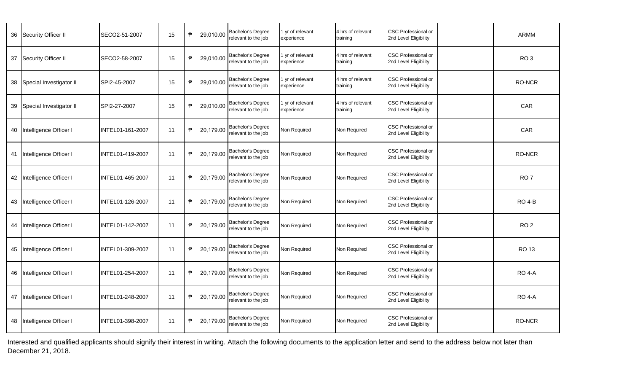| 36 | Security Officer II     | SECO2-51-2007           | 15 | $\mathsf{P}$<br>29,010.00 | Bachelor's Degree<br>relevant to the job | 1 yr of relevant<br>experience | 4 hrs of relevant<br>training | <b>CSC Professional or</b><br>2nd Level Eligibility | <b>ARMM</b>     |
|----|-------------------------|-------------------------|----|---------------------------|------------------------------------------|--------------------------------|-------------------------------|-----------------------------------------------------|-----------------|
| 37 | Security Officer II     | SECO2-58-2007           | 15 | ₱<br>29,010.00            | Bachelor's Degree<br>relevant to the job | 1 yr of relevant<br>experience | 4 hrs of relevant<br>training | <b>CSC Professional or</b><br>2nd Level Eligibility | RO <sub>3</sub> |
| 38 | Special Investigator II | SPI2-45-2007            | 15 | ₱<br>29,010.00            | Bachelor's Degree<br>relevant to the job | 1 yr of relevant<br>experience | 4 hrs of relevant<br>training | <b>CSC Professional or</b><br>2nd Level Eligibility | RO-NCR          |
| 39 | Special Investigator II | SPI2-27-2007            | 15 | ₱<br>29,010.00            | Bachelor's Degree<br>relevant to the job | 1 yr of relevant<br>experience | 4 hrs of relevant<br>training | <b>CSC Professional or</b><br>2nd Level Eligibility | CAR             |
| 40 | Intelligence Officer I  | INTEL01-161-2007        | 11 | ₱<br>20,179.00            | Bachelor's Degree<br>relevant to the job | Non Required                   | Non Required                  | <b>CSC Professional or</b><br>2nd Level Eligibility | CAR             |
| 41 | Intelligence Officer I  | INTEL01-419-2007        | 11 | ₱<br>20,179.00            | Bachelor's Degree<br>relevant to the job | Non Required                   | Non Required                  | <b>CSC Professional or</b><br>2nd Level Eligibility | <b>RO-NCR</b>   |
| 42 | Intelligence Officer I  | <b>INTEL01-465-2007</b> | 11 | 20,179.00<br>₱            | Bachelor's Degree<br>relevant to the job | Non Required                   | Non Required                  | <b>CSC Professional or</b><br>2nd Level Eligibility | RO <sub>7</sub> |
| 43 | Intelligence Officer I  | INTEL01-126-2007        | 11 | ₱<br>20,179.00            | Bachelor's Degree<br>relevant to the job | Non Required                   | Non Required                  | <b>CSC Professional or</b><br>2nd Level Eligibility | <b>RO 4-B</b>   |
| 44 | Intelligence Officer I  | INTEL01-142-2007        | 11 | ₱<br>20,179.00            | Bachelor's Degree<br>relevant to the job | Non Required                   | Non Required                  | <b>CSC Professional or</b><br>2nd Level Eligibility | RO <sub>2</sub> |
| 45 | Intelligence Officer I  | IINTEL01-309-2007       | 11 | ₱<br>20,179.00            | Bachelor's Degree<br>relevant to the job | Non Required                   | Non Required                  | <b>CSC Professional or</b><br>2nd Level Eligibility | <b>RO 13</b>    |
| 46 | Intelligence Officer I  | <b>INTEL01-254-2007</b> | 11 | ₱<br>20,179.00            | Bachelor's Degree<br>relevant to the job | Non Required                   | Non Required                  | <b>CSC Professional or</b><br>2nd Level Eligibility | <b>RO 4-A</b>   |
| 47 | Intelligence Officer I  | INTEL01-248-2007        | 11 | ₱<br>20,179.00            | Bachelor's Degree<br>relevant to the job | Non Required                   | Non Required                  | <b>CSC Professional or</b><br>2nd Level Eligibility | <b>RO 4-A</b>   |
| 48 | Intelligence Officer I  | INTEL01-398-2007        | 11 | ₱<br>20,179.00            | Bachelor's Degree<br>relevant to the job | Non Required                   | Non Required                  | <b>CSC Professional or</b><br>2nd Level Eligibility | RO-NCR          |

Interested and qualified applicants should signify their interest in writing. Attach the following documents to the application letter and send to the address below not later than December 21, 2018.